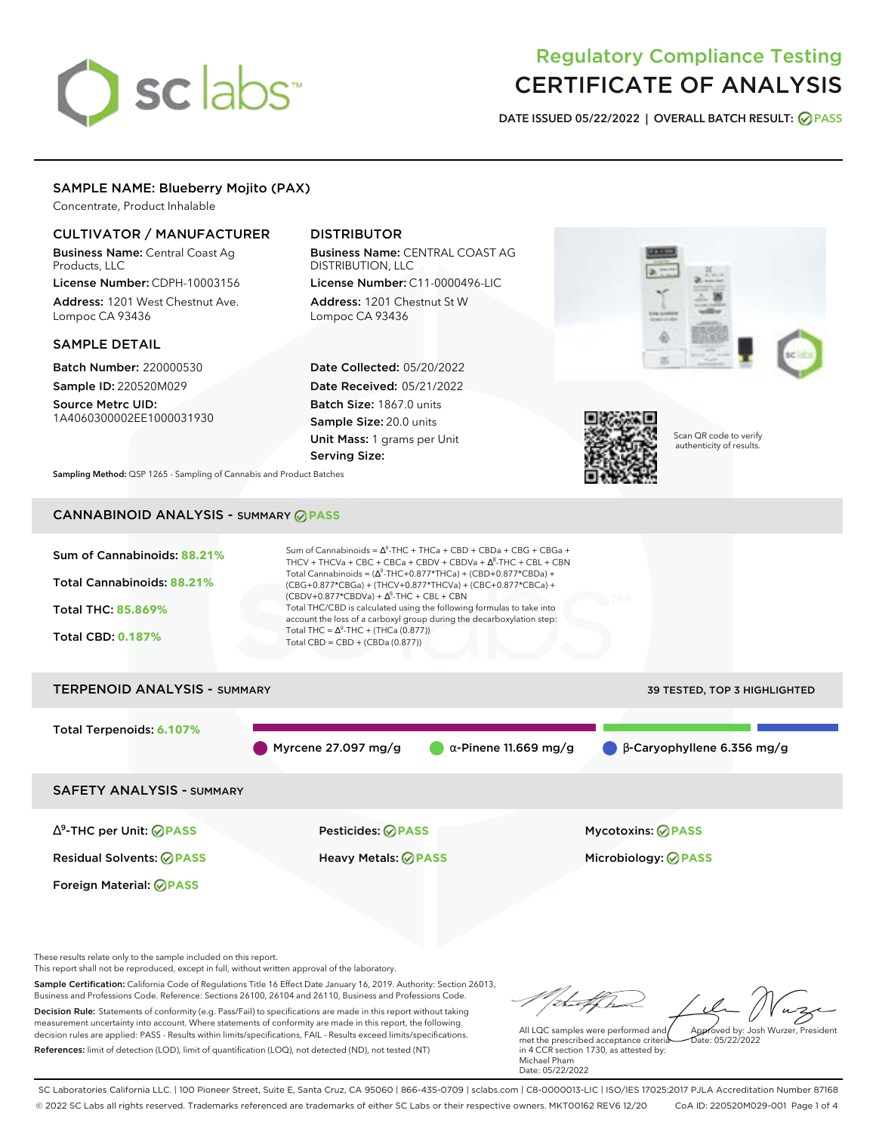# sclabs<sup>\*</sup>

# Regulatory Compliance Testing CERTIFICATE OF ANALYSIS

**DATE ISSUED 05/22/2022 | OVERALL BATCH RESULT: PASS**

# SAMPLE NAME: Blueberry Mojito (PAX)

Concentrate, Product Inhalable

# CULTIVATOR / MANUFACTURER

Business Name: Central Coast Ag Products, LLC

License Number: CDPH-10003156 Address: 1201 West Chestnut Ave. Lompoc CA 93436

# SAMPLE DETAIL

Batch Number: 220000530 Sample ID: 220520M029

Source Metrc UID: 1A4060300002EE1000031930

# DISTRIBUTOR

Business Name: CENTRAL COAST AG DISTRIBUTION, LLC License Number: C11-0000496-LIC

Address: 1201 Chestnut St W Lompoc CA 93436

Date Collected: 05/20/2022 Date Received: 05/21/2022 Batch Size: 1867.0 units Sample Size: 20.0 units Unit Mass: 1 grams per Unit Serving Size:





Scan QR code to verify authenticity of results.

**Sampling Method:** QSP 1265 - Sampling of Cannabis and Product Batches

# CANNABINOID ANALYSIS - SUMMARY **PASS**

| Sum of Cannabinoids: 88.21%<br>Total Cannabinoids: 88.21%<br>Total THC: 85.869%<br><b>Total CBD: 0.187%</b> | Sum of Cannabinoids = $\Delta^9$ -THC + THCa + CBD + CBDa + CBG + CBGa +<br>THCV + THCVa + CBC + CBCa + CBDV + CBDVa + $\Lambda^8$ -THC + CBL + CBN<br>Total Cannabinoids = $(\Delta^9$ -THC+0.877*THCa) + (CBD+0.877*CBDa) +<br>(CBG+0.877*CBGa) + (THCV+0.877*THCVa) + (CBC+0.877*CBCa) +<br>$(CBDV+0.877*CBDVa) + \Delta^8$ -THC + CBL + CBN<br>Total THC/CBD is calculated using the following formulas to take into<br>account the loss of a carboxyl group during the decarboxylation step:<br>Total THC = $\Delta^9$ -THC + (THCa (0.877))<br>Total CBD = $CBD + (CBDa (0.877))$ |                                     |
|-------------------------------------------------------------------------------------------------------------|-----------------------------------------------------------------------------------------------------------------------------------------------------------------------------------------------------------------------------------------------------------------------------------------------------------------------------------------------------------------------------------------------------------------------------------------------------------------------------------------------------------------------------------------------------------------------------------------|-------------------------------------|
| <b>TERPENOID ANALYSIS - SUMMARY</b>                                                                         |                                                                                                                                                                                                                                                                                                                                                                                                                                                                                                                                                                                         | <b>39 TESTED, TOP 3 HIGHLIGHTED</b> |
| Total Terpenoids: 6.107%                                                                                    | Myrcene $27.097$ mg/g<br>$\alpha$ -Pinene 11.669 mg/g                                                                                                                                                                                                                                                                                                                                                                                                                                                                                                                                   | $\beta$ -Caryophyllene 6.356 mg/g   |

SAFETY ANALYSIS - SUMMARY

∆ 9 -THC per Unit: **PASS** Pesticides: **PASS** Mycotoxins: **PASS**

Foreign Material: **PASS**

Residual Solvents: **PASS** Heavy Metals: **PASS** Microbiology: **PASS**

These results relate only to the sample included on this report.

This report shall not be reproduced, except in full, without written approval of the laboratory.

Sample Certification: California Code of Regulations Title 16 Effect Date January 16, 2019. Authority: Section 26013, Business and Professions Code. Reference: Sections 26100, 26104 and 26110, Business and Professions Code. Decision Rule: Statements of conformity (e.g. Pass/Fail) to specifications are made in this report without taking measurement uncertainty into account. Where statements of conformity are made in this report, the following decision rules are applied: PASS - Results within limits/specifications, FAIL - Results exceed limits/specifications.

References: limit of detection (LOD), limit of quantification (LOQ), not detected (ND), not tested (NT)

talk ha Approved by: Josh Wurzer, President

 $hat: 05/22/2022$ 

All LQC samples were performed and met the prescribed acceptance criteria in 4 CCR section 1730, as attested by: Michael Pham Date: 05/22/2022

SC Laboratories California LLC. | 100 Pioneer Street, Suite E, Santa Cruz, CA 95060 | 866-435-0709 | sclabs.com | C8-0000013-LIC | ISO/IES 17025:2017 PJLA Accreditation Number 87168 © 2022 SC Labs all rights reserved. Trademarks referenced are trademarks of either SC Labs or their respective owners. MKT00162 REV6 12/20 CoA ID: 220520M029-001 Page 1 of 4